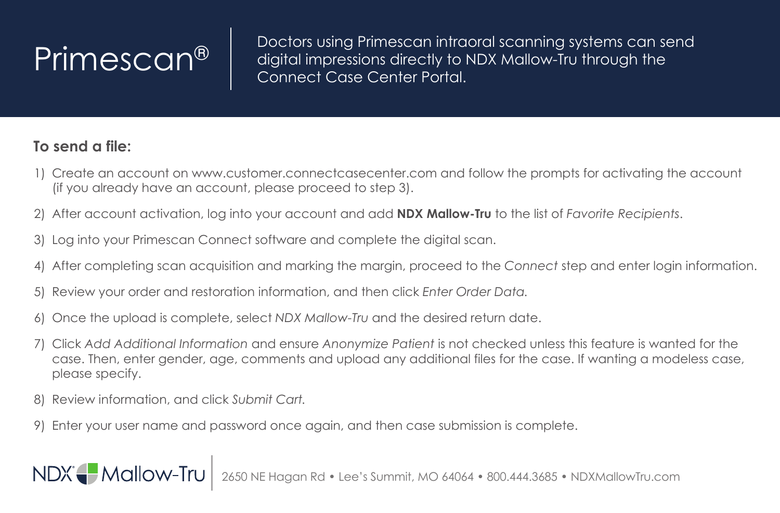$\left\lvert \mathsf{Primesc} \right\rvert$  Doctors using Primescan intraoral scanning systems can send digital impressions directly to NDX Mallow-Tru through the Connect Case Center Portal.

## **To send a file:**

- 1) Create an account on www.customer.connectcasecenter.com and follow the prompts for activating the account (if you already have an account, please proceed to step 3).
- 2) After account activation, log into your account and add **NDX Mallow-Tru** to the list of *Favorite Recipients*.
- 3) Log into your Primescan Connect software and complete the digital scan.
- 4) After completing scan acquisition and marking the margin, proceed to the *Connect* step and enter login information.
- 5) Review your order and restoration information, and then click *Enter Order Data.*
- 6) Once the upload is complete, select *NDX Mallow-Tru* and the desired return date.
- 7) Click *Add Additional Information* and ensure *Anonymize Patient* is not checked unless this feature is wanted for the case. Then, enter gender, age, comments and upload any additional files for the case. If wanting a modeless case, please specify.
- 8) Review information, and click *Submit Cart.*

NDX Mallow-Tru

9) Enter your user name and password once again, and then case submission is complete.

2650 NE Hagan Rd • Lee's Summit, MO 64064 • 800.444.3685 • NDXMallowTru.com